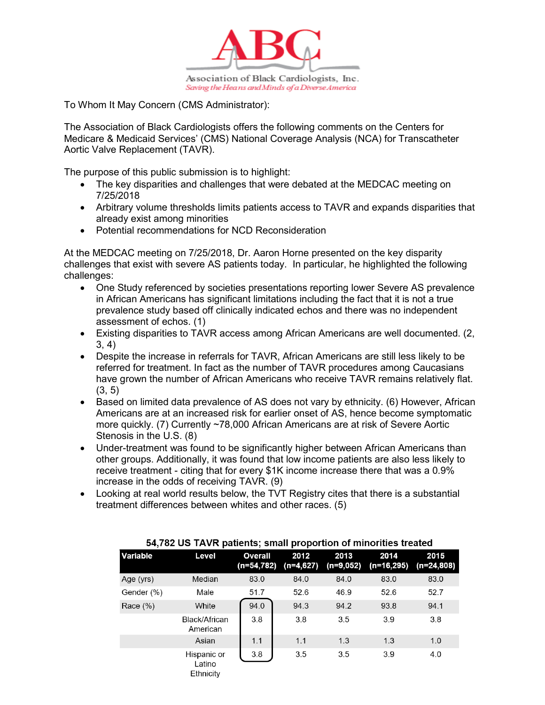

To Whom It May Concern (CMS Administrator):

The Association of Black Cardiologists offers the following comments on the Centers for Medicare & Medicaid Services' (CMS) National Coverage Analysis (NCA) for Transcatheter Aortic Valve Replacement (TAVR).

The purpose of this public submission is to highlight:

- The key disparities and challenges that were debated at the MEDCAC meeting on 7/25/2018
- Arbitrary volume thresholds limits patients access to TAVR and expands disparities that already exist among minorities
- Potential recommendations for NCD Reconsideration

At the MEDCAC meeting on 7/25/2018, Dr. Aaron Horne presented on the key disparity challenges that exist with severe AS patients today. In particular, he highlighted the following challenges:

- One Study referenced by societies presentations reporting lower Severe AS prevalence in African Americans has significant limitations including the fact that it is not a true prevalence study based off clinically indicated echos and there was no independent assessment of echos. (1)
- Existing disparities to TAVR access among African Americans are well documented. (2, 3, 4)
- Despite the increase in referrals for TAVR, African Americans are still less likely to be referred for treatment. In fact as the number of TAVR procedures among Caucasians have grown the number of African Americans who receive TAVR remains relatively flat.  $(3, 5)$
- Based on limited data prevalence of AS does not vary by ethnicity. (6) However, African Americans are at an increased risk for earlier onset of AS, hence become symptomatic more quickly. (7) Currently ~78,000 African Americans are at risk of Severe Aortic Stenosis in the U.S. (8)
- Under-treatment was found to be significantly higher between African Americans than other groups. Additionally, it was found that low income patients are also less likely to receive treatment - citing that for every \$1K income increase there that was a 0.9% increase in the odds of receiving TAVR. (9)
- Looking at real world results below, the TVT Registry cites that there is a substantial treatment differences between whites and other races. (5)

| $34,702$ OU TAVIN patients, sinan proportion of infinities treated |                           |                              |                     |                   |                      |                    |
|--------------------------------------------------------------------|---------------------------|------------------------------|---------------------|-------------------|----------------------|--------------------|
| <b>Variable</b>                                                    | Level                     | <b>Overall</b><br>(n=54,782) | 2012<br>$(n=4,627)$ | 2013<br>(n=9,052) | 2014<br>$(n=16,295)$ | 2015<br>(n=24,808) |
| Age (yrs)                                                          | Median                    | 83.0                         | 84.0                | 84.0              | 83.0                 | 83.0               |
| Gender (%)                                                         | Male                      | 51.7                         | 52.6                | 46.9              | 52.6                 | 52.7               |
| Race $(\%)$                                                        | White                     | 94.0                         | 94.3                | 94.2              | 93.8                 | 94.1               |
|                                                                    | Black/African<br>American | 3.8                          | 3.8                 | 3.5               | 3.9                  | 3.8                |
|                                                                    | Asian                     | 1.1                          | 1.1                 | 1.3               | 1.3                  | 1.0                |
|                                                                    | Hispanic or<br>Latino     | 3.8                          | 3.5                 | 3.5               | 3.9                  | 4.0                |

54 782 LIS TAVP patients: small proportion of minorities treated

Ethnicity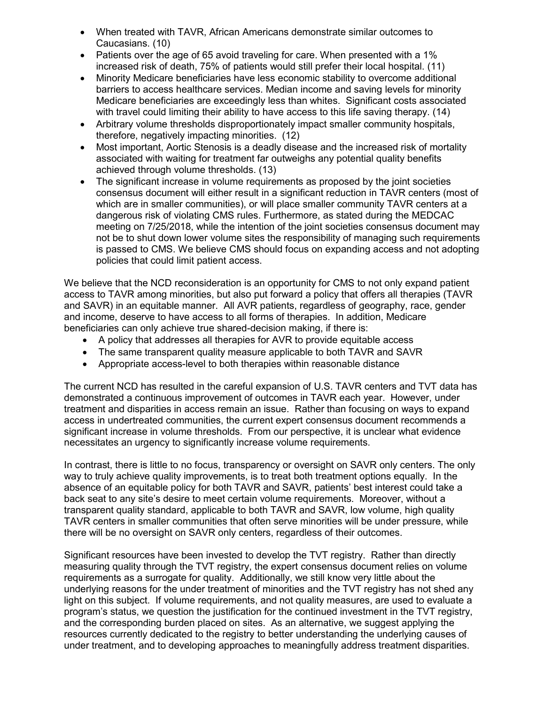- x When treated with TAVR, African Americans demonstrate similar outcomes to Caucasians. (10)
- Patients over the age of 65 avoid traveling for care. When presented with a 1% increased risk of death, 75% of patients would still prefer their local hospital. (11)
- x Minority Medicare beneficiaries have less economic stability to overcome additional barriers to access healthcare services. Median income and saving levels for minority Medicare beneficiaries are exceedingly less than whites. Significant costs associated with travel could limiting their ability to have access to this life saving therapy. (14)
- x Arbitrary volume thresholds disproportionately impact smaller community hospitals, therefore, negatively impacting minorities. (12)
- Most important, Aortic Stenosis is a deadly disease and the increased risk of mortality associated with waiting for treatment far outweighs any potential quality benefits achieved through volume thresholds. (13)
- The significant increase in volume requirements as proposed by the joint societies consensus document will either result in a significant reduction in TAVR centers (most of which are in smaller communities), or will place smaller community TAVR centers at a dangerous risk of violating CMS rules. Furthermore, as stated during the MEDCAC meeting on 7/25/2018, while the intention of the joint societies consensus document may not be to shut down lower volume sites the responsibility of managing such requirements is passed to CMS. We believe CMS should focus on expanding access and not adopting policies that could limit patient access.

We believe that the NCD reconsideration is an opportunity for CMS to not only expand patient access to TAVR among minorities, but also put forward a policy that offers all therapies (TAVR and SAVR) in an equitable manner. All AVR patients, regardless of geography, race, gender and income, deserve to have access to all forms of therapies. In addition, Medicare beneficiaries can only achieve true shared-decision making, if there is:

- A policy that addresses all therapies for AVR to provide equitable access
- The same transparent quality measure applicable to both TAVR and SAVR
- Appropriate access-level to both therapies within reasonable distance

The current NCD has resulted in the careful expansion of U.S. TAVR centers and TVT data has demonstrated a continuous improvement of outcomes in TAVR each year. However, under treatment and disparities in access remain an issue. Rather than focusing on ways to expand access in undertreated communities, the current expert consensus document recommends a significant increase in volume thresholds. From our perspective, it is unclear what evidence necessitates an urgency to significantly increase volume requirements.

In contrast, there is little to no focus, transparency or oversight on SAVR only centers. The only way to truly achieve quality improvements, is to treat both treatment options equally. In the absence of an equitable policy for both TAVR and SAVR, patients' best interest could take a back seat to any site's desire to meet certain volume requirements. Moreover, without a transparent quality standard, applicable to both TAVR and SAVR, low volume, high quality TAVR centers in smaller communities that often serve minorities will be under pressure, while there will be no oversight on SAVR only centers, regardless of their outcomes.

Significant resources have been invested to develop the TVT registry. Rather than directly measuring quality through the TVT registry, the expert consensus document relies on volume requirements as a surrogate for quality. Additionally, we still know very little about the underlying reasons for the under treatment of minorities and the TVT registry has not shed any light on this subject. If volume requirements, and not quality measures, are used to evaluate a program's status, we question the justification for the continued investment in the TVT registry, and the corresponding burden placed on sites. As an alternative, we suggest applying the resources currently dedicated to the registry to better understanding the underlying causes of under treatment, and to developing approaches to meaningfully address treatment disparities.